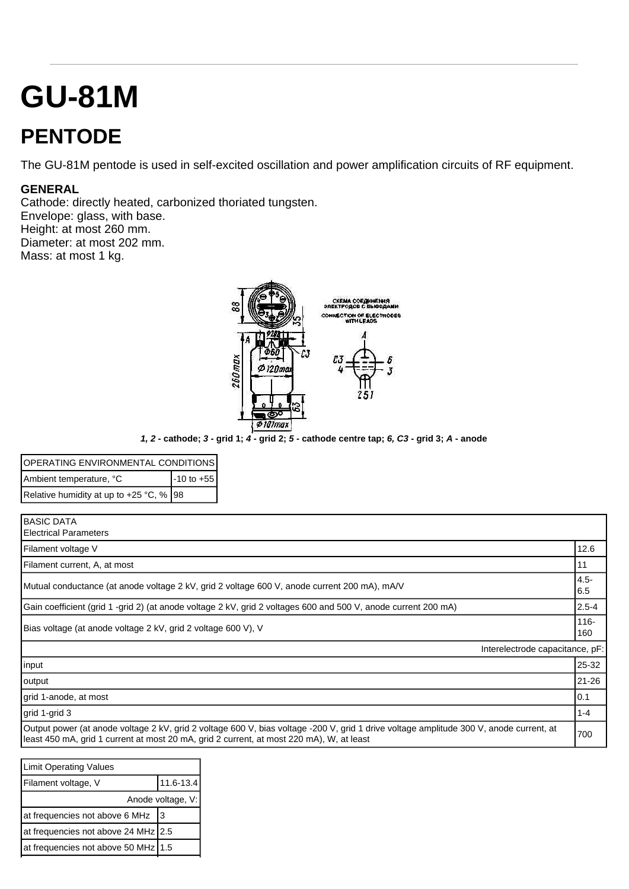## **GU-81M**

## **PENTODE**

The GU-81M pentode is used in self-excited oscillation and power amplification circuits of RF equipment.

## **GENERAL**

Cathode: directly heated, carbonized thoriated tungsten. Envelope: glass, with base. Height: at most 260 mm. Diameter: at most 202 mm. Mass: at most 1 kg.



*1, 2* **- cathode;** *3* **- grid 1;** *4* **- grid 2;** *5* **- cathode centre tap;** *6, C3* **- grid 3;** *A* **- anode**

| <b>OPERATING ENVIRONMENTAL CONDITIONS</b> |                |
|-------------------------------------------|----------------|
| Ambient temperature, °C                   | $-10$ to $+55$ |
| Relative humidity at up to +25 °C, %   98 |                |

| <b>BASIC DATA</b>                                                                                              |                                 |                                            |
|----------------------------------------------------------------------------------------------------------------|---------------------------------|--------------------------------------------|
| <b>Electrical Parameters</b>                                                                                   |                                 |                                            |
| Filament voltage V                                                                                             |                                 | 12.6                                       |
| Filament current, A, at most                                                                                   |                                 | 11                                         |
| Mutual conductance (at anode voltage 2 kV, grid 2 voltage 600 V, anode current 200 mA), mA/V                   |                                 | $\begin{vmatrix} 4.5 \\ 6.5 \end{vmatrix}$ |
|                                                                                                                |                                 |                                            |
| Gain coefficient (grid 1 -grid 2) (at anode voltage 2 kV, grid 2 voltages 600 and 500 V, anode current 200 mA) |                                 | $ 2.5 - 4 $                                |
|                                                                                                                |                                 | 116-                                       |
| Bias voltage (at anode voltage 2 kV, grid 2 voltage 600 V), V                                                  |                                 | 160                                        |
|                                                                                                                | Interelectrode capacitance, pF: |                                            |
|                                                                                                                |                                 |                                            |

| output                                                                                                                                                                                                                              | I21-26 |
|-------------------------------------------------------------------------------------------------------------------------------------------------------------------------------------------------------------------------------------|--------|
| grid 1-anode, at most                                                                                                                                                                                                               |        |
| $\vert$ grid 1-grid 3                                                                                                                                                                                                               | 1-4    |
| Output power (at anode voltage 2 kV, grid 2 voltage 600 V, bias voltage -200 V, grid 1 drive voltage amplitude 300 V, anode current, at<br>least 450 mA, grid 1 current at most 20 mA, grid 2 current, at most 220 mA), W, at least | 1700   |

| <b>Limit Operating Values</b>       |           |  |
|-------------------------------------|-----------|--|
| Filament voltage, V                 | 11.6-13.4 |  |
| Anode voltage, V:                   |           |  |
| at frequencies not above 6 MHz      | 3         |  |
| at frequencies not above 24 MHz 2.5 |           |  |
| at frequencies not above 50 MHz 1.5 |           |  |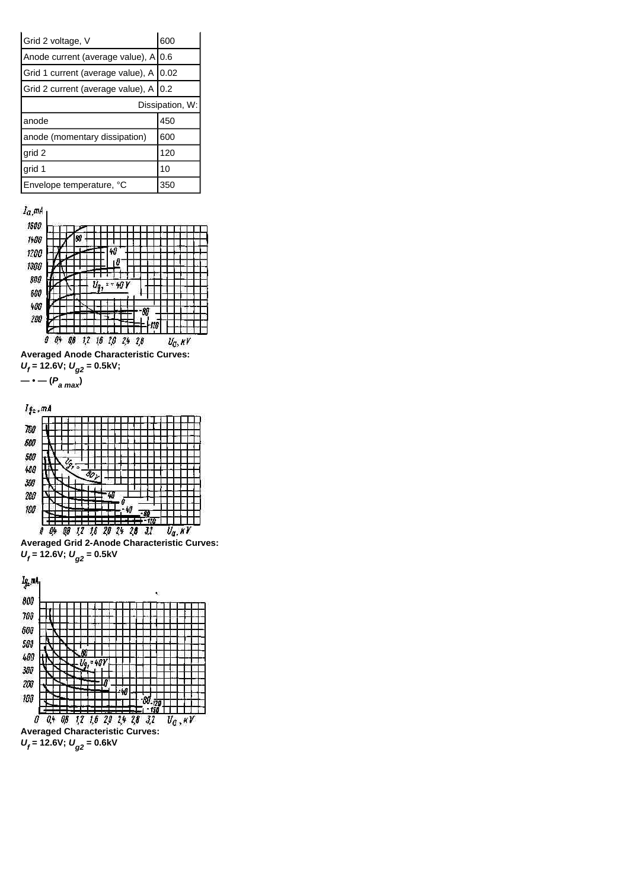**Averaged Anode Characteristic Curves:**  *Uf*  **= 12.6V;** *Ug2* **= 0.5kV;**



**Averaged Grid 2-Anode Characteristic Curves:**   $U_f$  = 12.6V;  $U_{g2}$  = 0.5kV





| Grid 2 voltage, V                        | 600 |
|------------------------------------------|-----|
| Anode current (average value), A 0.6     |     |
| Grid 1 current (average value), A   0.02 |     |
| Grid 2 current (average value), A   0.2  |     |
| Dissipation, W:                          |     |
| anode                                    | 450 |
| anode (momentary dissipation)            | 600 |
| grid 2                                   | 120 |
|                                          |     |
| grid 1                                   | 10  |